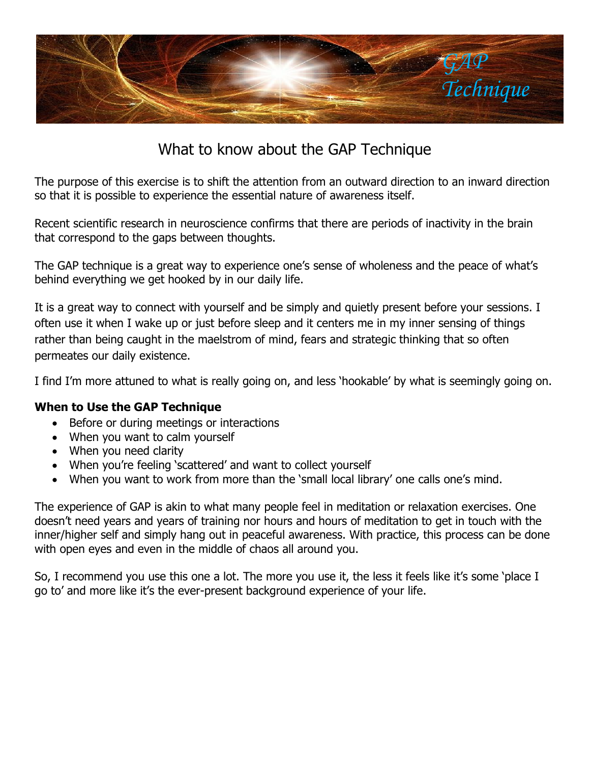

## What to know about the GAP Technique

The purpose of this exercise is to shift the attention from an outward direction to an inward direction so that it is possible to experience the essential nature of awareness itself.

Recent scientific research in neuroscience confirms that there are periods of inactivity in the brain that correspond to the gaps between thoughts.

The GAP technique is a great way to experience one's sense of wholeness and the peace of what's behind everything we get hooked by in our daily life.

It is a great way to connect with yourself and be simply and quietly present before your sessions. I often use it when I wake up or just before sleep and it centers me in my inner sensing of things rather than being caught in the maelstrom of mind, fears and strategic thinking that so often permeates our daily existence.

I find I'm more attuned to what is really going on, and less 'hookable' by what is seemingly going on.

## **When to Use the GAP Technique**

- Before or during meetings or interactions
- When you want to calm yourself
- When you need clarity
- When you're feeling 'scattered' and want to collect yourself
- When you want to work from more than the 'small local library' one calls one's mind.

The experience of GAP is akin to what many people feel in meditation or relaxation exercises. One doesn't need years and years of training nor hours and hours of meditation to get in touch with the inner/higher self and simply hang out in peaceful awareness. With practice, this process can be done with open eyes and even in the middle of chaos all around you.

So, I recommend you use this one a lot. The more you use it, the less it feels like it's some 'place I go to' and more like it's the ever-present background experience of your life.